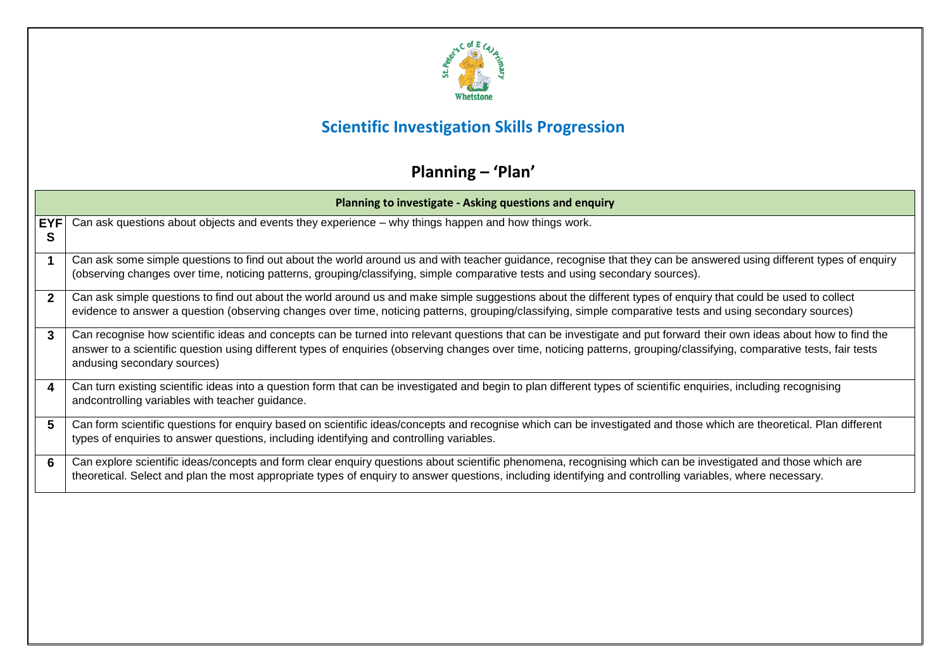

### **Scientific Investigation Skills Progression**

# **Planning – 'Plan'**

|                 | Planning to investigate - Asking questions and enquiry                                                                                                                                                                                                                                                                                                                        |  |  |
|-----------------|-------------------------------------------------------------------------------------------------------------------------------------------------------------------------------------------------------------------------------------------------------------------------------------------------------------------------------------------------------------------------------|--|--|
| <b>EYF</b><br>S | Can ask questions about objects and events they experience – why things happen and how things work.                                                                                                                                                                                                                                                                           |  |  |
|                 | Can ask some simple questions to find out about the world around us and with teacher guidance, recognise that they can be answered using different types of enquiry<br>(observing changes over time, noticing patterns, grouping/classifying, simple comparative tests and using secondary sources).                                                                          |  |  |
| $\mathbf{2}$    | Can ask simple questions to find out about the world around us and make simple suggestions about the different types of enquiry that could be used to collect<br>evidence to answer a question (observing changes over time, noticing patterns, grouping/classifying, simple comparative tests and using secondary sources)                                                   |  |  |
| 3               | Can recognise how scientific ideas and concepts can be turned into relevant questions that can be investigate and put forward their own ideas about how to find the<br>answer to a scientific question using different types of enquiries (observing changes over time, noticing patterns, grouping/classifying, comparative tests, fair tests<br>andusing secondary sources) |  |  |
| 4               | Can turn existing scientific ideas into a question form that can be investigated and begin to plan different types of scientific enquiries, including recognising<br>andcontrolling variables with teacher guidance.                                                                                                                                                          |  |  |
| 5               | Can form scientific questions for enquiry based on scientific ideas/concepts and recognise which can be investigated and those which are theoretical. Plan different<br>types of enquiries to answer questions, including identifying and controlling variables.                                                                                                              |  |  |
| 6               | Can explore scientific ideas/concepts and form clear enquiry questions about scientific phenomena, recognising which can be investigated and those which are<br>theoretical. Select and plan the most appropriate types of enquiry to answer questions, including identifying and controlling variables, where necessary.                                                     |  |  |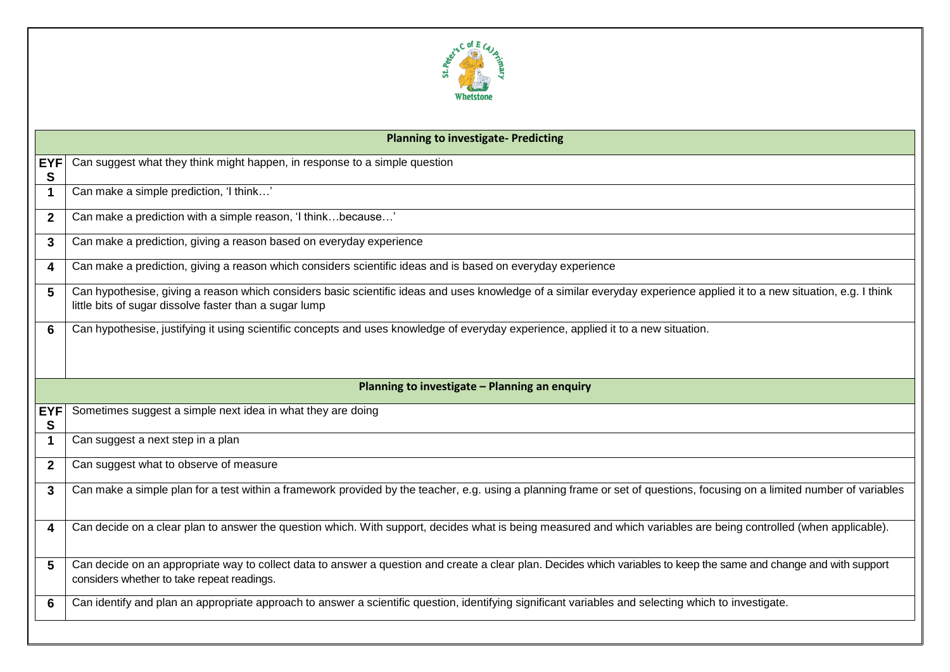

|                 | <b>Planning to investigate- Predicting</b>                                                                                                                                                                                        |
|-----------------|-----------------------------------------------------------------------------------------------------------------------------------------------------------------------------------------------------------------------------------|
| <b>EYF</b><br>S | Can suggest what they think might happen, in response to a simple question                                                                                                                                                        |
| $\mathbf 1$     | Can make a simple prediction, 'I think'                                                                                                                                                                                           |
| $\mathbf{2}$    | Can make a prediction with a simple reason, 'I thinkbecause'                                                                                                                                                                      |
| 3               | Can make a prediction, giving a reason based on everyday experience                                                                                                                                                               |
| 4               | Can make a prediction, giving a reason which considers scientific ideas and is based on everyday experience                                                                                                                       |
| 5               | Can hypothesise, giving a reason which considers basic scientific ideas and uses knowledge of a similar everyday experience applied it to a new situation, e.g. I think<br>little bits of sugar dissolve faster than a sugar lump |
| 6               | Can hypothesise, justifying it using scientific concepts and uses knowledge of everyday experience, applied it to a new situation.                                                                                                |
|                 |                                                                                                                                                                                                                                   |
|                 | Planning to investigate - Planning an enquiry                                                                                                                                                                                     |
|                 |                                                                                                                                                                                                                                   |
| <b>EYF</b><br>S | Sometimes suggest a simple next idea in what they are doing                                                                                                                                                                       |
|                 |                                                                                                                                                                                                                                   |
| $\mathbf 1$     | Can suggest a next step in a plan                                                                                                                                                                                                 |
| $\mathbf{2}$    | Can suggest what to observe of measure                                                                                                                                                                                            |
| 3               | Can make a simple plan for a test within a framework provided by the teacher, e.g. using a planning frame or set of questions, focusing on a limited number of variables                                                          |
| 4               | Can decide on a clear plan to answer the question which. With support, decides what is being measured and which variables are being controlled (when applicable).                                                                 |
| 5               | Can decide on an appropriate way to collect data to answer a question and create a clear plan. Decides which variables to keep the same and change and with support<br>considers whether to take repeat readings.                 |
| 6               | Can identify and plan an appropriate approach to answer a scientific question, identifying significant variables and selecting which to investigate.                                                                              |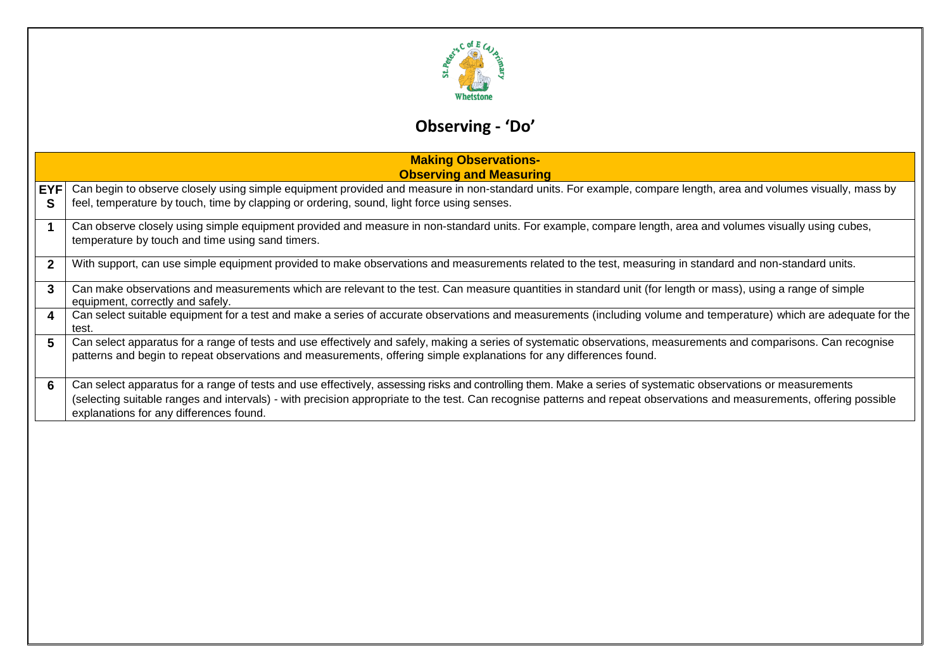

# **Observing - 'Do'**

|                 | <b>Making Observations-</b><br><b>Observing and Measuring</b>                                                                                                                                                                                                                                                                                                                      |  |  |
|-----------------|------------------------------------------------------------------------------------------------------------------------------------------------------------------------------------------------------------------------------------------------------------------------------------------------------------------------------------------------------------------------------------|--|--|
| <b>EYF</b><br>S | Can begin to observe closely using simple equipment provided and measure in non-standard units. For example, compare length, area and volumes visually, mass by<br>feel, temperature by touch, time by clapping or ordering, sound, light force using senses.                                                                                                                      |  |  |
|                 | Can observe closely using simple equipment provided and measure in non-standard units. For example, compare length, area and volumes visually using cubes,<br>temperature by touch and time using sand timers.                                                                                                                                                                     |  |  |
| $\overline{2}$  | With support, can use simple equipment provided to make observations and measurements related to the test, measuring in standard and non-standard units.                                                                                                                                                                                                                           |  |  |
| 3               | Can make observations and measurements which are relevant to the test. Can measure quantities in standard unit (for length or mass), using a range of simple<br>equipment, correctly and safely.                                                                                                                                                                                   |  |  |
| 4               | Can select suitable equipment for a test and make a series of accurate observations and measurements (including volume and temperature) which are adequate for the<br>test.                                                                                                                                                                                                        |  |  |
| 5               | Can select apparatus for a range of tests and use effectively and safely, making a series of systematic observations, measurements and comparisons. Can recognise<br>patterns and begin to repeat observations and measurements, offering simple explanations for any differences found.                                                                                           |  |  |
| 6               | Can select apparatus for a range of tests and use effectively, assessing risks and controlling them. Make a series of systematic observations or measurements<br>(selecting suitable ranges and intervals) - with precision appropriate to the test. Can recognise patterns and repeat observations and measurements, offering possible<br>explanations for any differences found. |  |  |
|                 |                                                                                                                                                                                                                                                                                                                                                                                    |  |  |
|                 |                                                                                                                                                                                                                                                                                                                                                                                    |  |  |
|                 |                                                                                                                                                                                                                                                                                                                                                                                    |  |  |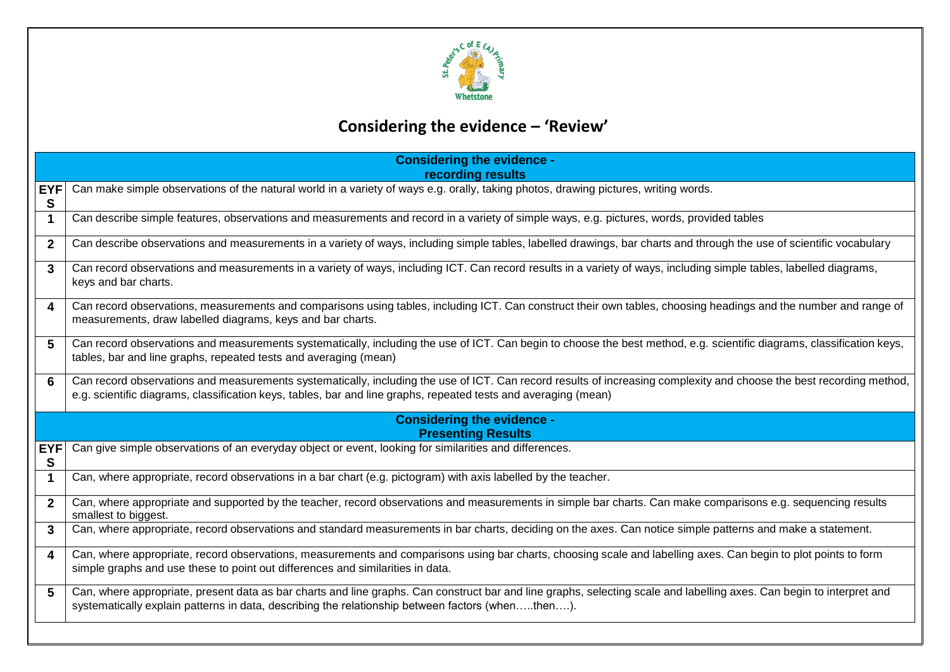

# **Considering the evidence – 'Review'**

| <b>EYF</b><br>S<br>$\mathbf 1$<br>$\mathbf{2}$<br>3<br>keys and bar charts. | recording results<br>Can make simple observations of the natural world in a variety of ways e.g. orally, taking photos, drawing pictures, writing words.<br>Can describe simple features, observations and measurements and record in a variety of simple ways, e.g. pictures, words, provided tables<br>Can describe observations and measurements in a variety of ways, including simple tables, labelled drawings, bar charts and through the use of scientific vocabulary<br>Can record observations and measurements in a variety of ways, including ICT. Can record results in a variety of ways, including simple tables, labelled diagrams,<br>Can record observations, measurements and comparisons using tables, including ICT. Can construct their own tables, choosing headings and the number and range of<br>measurements, draw labelled diagrams, keys and bar charts.<br>Can record observations and measurements systematically, including the use of ICT. Can begin to choose the best method, e.g. scientific diagrams, classification keys, |  |  |
|-----------------------------------------------------------------------------|-----------------------------------------------------------------------------------------------------------------------------------------------------------------------------------------------------------------------------------------------------------------------------------------------------------------------------------------------------------------------------------------------------------------------------------------------------------------------------------------------------------------------------------------------------------------------------------------------------------------------------------------------------------------------------------------------------------------------------------------------------------------------------------------------------------------------------------------------------------------------------------------------------------------------------------------------------------------------------------------------------------------------------------------------------------------|--|--|
|                                                                             |                                                                                                                                                                                                                                                                                                                                                                                                                                                                                                                                                                                                                                                                                                                                                                                                                                                                                                                                                                                                                                                                 |  |  |
|                                                                             |                                                                                                                                                                                                                                                                                                                                                                                                                                                                                                                                                                                                                                                                                                                                                                                                                                                                                                                                                                                                                                                                 |  |  |
|                                                                             |                                                                                                                                                                                                                                                                                                                                                                                                                                                                                                                                                                                                                                                                                                                                                                                                                                                                                                                                                                                                                                                                 |  |  |
|                                                                             |                                                                                                                                                                                                                                                                                                                                                                                                                                                                                                                                                                                                                                                                                                                                                                                                                                                                                                                                                                                                                                                                 |  |  |
| $\boldsymbol{4}$                                                            |                                                                                                                                                                                                                                                                                                                                                                                                                                                                                                                                                                                                                                                                                                                                                                                                                                                                                                                                                                                                                                                                 |  |  |
| 5                                                                           | tables, bar and line graphs, repeated tests and averaging (mean)                                                                                                                                                                                                                                                                                                                                                                                                                                                                                                                                                                                                                                                                                                                                                                                                                                                                                                                                                                                                |  |  |
| 6                                                                           | Can record observations and measurements systematically, including the use of ICT. Can record results of increasing complexity and choose the best recording method,<br>e.g. scientific diagrams, classification keys, tables, bar and line graphs, repeated tests and averaging (mean)                                                                                                                                                                                                                                                                                                                                                                                                                                                                                                                                                                                                                                                                                                                                                                         |  |  |
|                                                                             | <b>Considering the evidence -</b><br><b>Presenting Results</b>                                                                                                                                                                                                                                                                                                                                                                                                                                                                                                                                                                                                                                                                                                                                                                                                                                                                                                                                                                                                  |  |  |
| <b>EYF</b><br>S                                                             | Can give simple observations of an everyday object or event, looking for similarities and differences.                                                                                                                                                                                                                                                                                                                                                                                                                                                                                                                                                                                                                                                                                                                                                                                                                                                                                                                                                          |  |  |
| $\mathbf 1$                                                                 | Can, where appropriate, record observations in a bar chart (e.g. pictogram) with axis labelled by the teacher.                                                                                                                                                                                                                                                                                                                                                                                                                                                                                                                                                                                                                                                                                                                                                                                                                                                                                                                                                  |  |  |
| $\overline{2}$<br>smallest to biggest.                                      | Can, where appropriate and supported by the teacher, record observations and measurements in simple bar charts. Can make comparisons e.g. sequencing results                                                                                                                                                                                                                                                                                                                                                                                                                                                                                                                                                                                                                                                                                                                                                                                                                                                                                                    |  |  |
| 3                                                                           | Can, where appropriate, record observations and standard measurements in bar charts, deciding on the axes. Can notice simple patterns and make a statement.                                                                                                                                                                                                                                                                                                                                                                                                                                                                                                                                                                                                                                                                                                                                                                                                                                                                                                     |  |  |
| $\overline{\mathbf{4}}$                                                     | Can, where appropriate, record observations, measurements and comparisons using bar charts, choosing scale and labelling axes. Can begin to plot points to form<br>simple graphs and use these to point out differences and similarities in data.                                                                                                                                                                                                                                                                                                                                                                                                                                                                                                                                                                                                                                                                                                                                                                                                               |  |  |
| 5                                                                           | Can, where appropriate, present data as bar charts and line graphs. Can construct bar and line graphs, selecting scale and labelling axes. Can begin to interpret and<br>systematically explain patterns in data, describing the relationship between factors (whenthen).                                                                                                                                                                                                                                                                                                                                                                                                                                                                                                                                                                                                                                                                                                                                                                                       |  |  |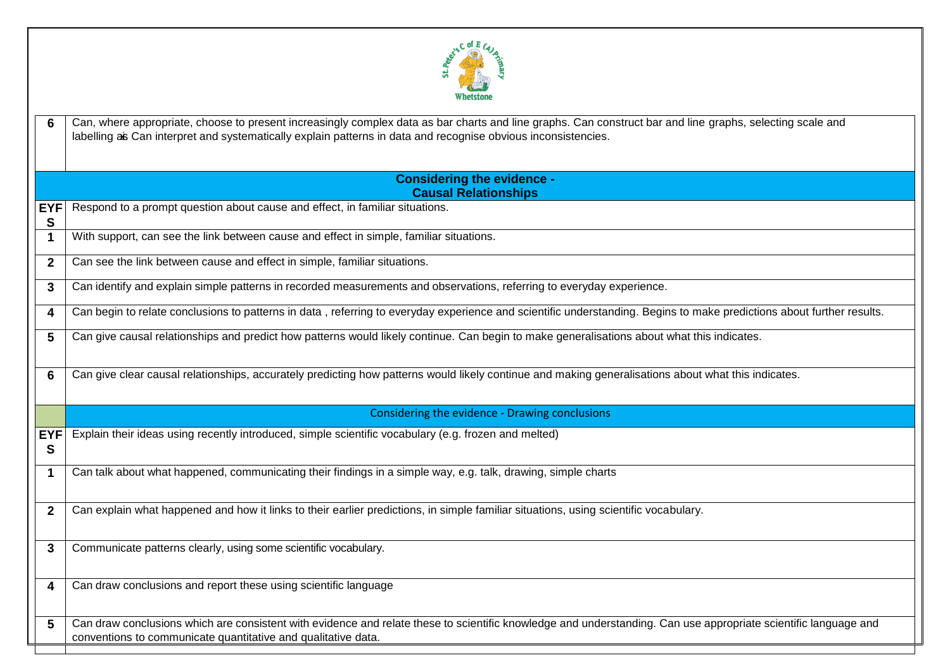

**6** Can, where appropriate, choose to present increasingly complex data as bar charts and line graphs. Can construct bar and line graphs, selecting scale and labelling as Can interpret and systematically explain patterns in data and recognise obvious inconsistencies.

| <b>Considering the evidence -</b> |
|-----------------------------------|
| <b>Causal Relationships</b>       |

**EYF** Respond to a prompt question about cause and effect, in familiar situations.

**1** With support, can see the link between cause and effect in simple, familiar situations.

**2** Can see the link between cause and effect in simple, familiar situations.

**S**

**S**

**3** Can identify and explain simple patterns in recorded measurements and observations, referring to everyday experience.

**4** Can begin to relate conclusions to patterns in data, referring to everyday experience and scientific understanding. Begins to make predictions about further results.

**5** Can give causal relationships and predict how patterns would likely continue. Can begin to make generalisations about what this indicates.

**6** Can give clear causal relationships, accurately predicting how patterns would likely continue and making generalisations about what this indicates.

Considering the evidence - Drawing conclusions

**EYF** Explain their ideas using recently introduced, simple scientific vocabulary (e.g. frozen and melted)

**1** Can talk about what happened, communicating their findings in a simple way, e.g. talk, drawing, simple charts

**2** Can explain what happened and how it links to their earlier predictions, in simple familiar situations, using scientific vocabulary.

**3** Communicate patterns clearly, using some scientific vocabulary.

**4** Can draw conclusions and report these using scientific language

**5** Can draw conclusions which are consistent with evidence and relate these to scientific knowledge and understanding. Can use appropriate scientific language and conventions to communicate quantitative and qualitative data.